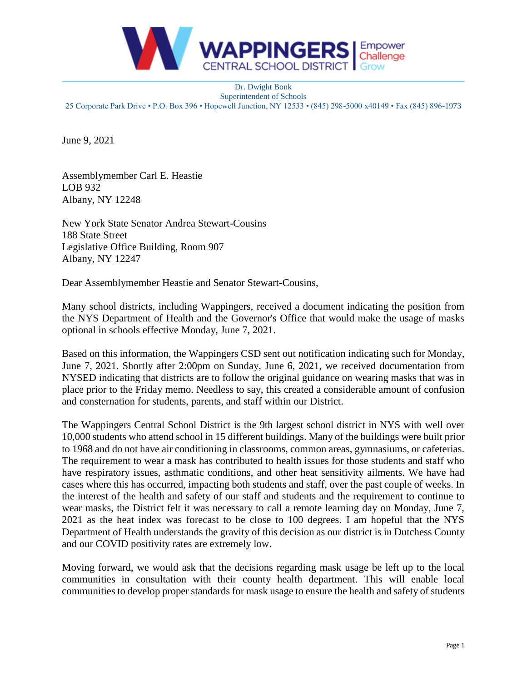

Dr. Dwight Bonk Superintendent of Schools

25 Corporate Park Drive • P.O. Box 396 • Hopewell Junction, NY 12533 • (845) 298-5000 x40149 • Fax (845) 896-1973

June 9, 2021

Assemblymember Carl E. Heastie LOB 932 Albany, NY 12248

New York State Senator Andrea Stewart-Cousins 188 State Street Legislative Office Building, Room 907 Albany, NY 12247

Dear Assemblymember Heastie and Senator Stewart-Cousins,

Many school districts, including Wappingers, received a document indicating the position from the NYS Department of Health and the Governor's Office that would make the usage of masks optional in schools effective Monday, June 7, 2021.

Based on this information, the Wappingers CSD sent out notification indicating such for Monday, June 7, 2021. Shortly after 2:00pm on Sunday, June 6, 2021, we received documentation from NYSED indicating that districts are to follow the original guidance on wearing masks that was in place prior to the Friday memo. Needless to say, this created a considerable amount of confusion and consternation for students, parents, and staff within our District.

The Wappingers Central School District is the 9th largest school district in NYS with well over 10,000 students who attend school in 15 different buildings. Many of the buildings were built prior to 1968 and do not have air conditioning in classrooms, common areas, gymnasiums, or cafeterias. The requirement to wear a mask has contributed to health issues for those students and staff who have respiratory issues, asthmatic conditions, and other heat sensitivity ailments. We have had cases where this has occurred, impacting both students and staff, over the past couple of weeks. In the interest of the health and safety of our staff and students and the requirement to continue to wear masks, the District felt it was necessary to call a remote learning day on Monday, June 7, 2021 as the heat index was forecast to be close to 100 degrees. I am hopeful that the NYS Department of Health understands the gravity of this decision as our district is in Dutchess County and our COVID positivity rates are extremely low.

Moving forward, we would ask that the decisions regarding mask usage be left up to the local communities in consultation with their county health department. This will enable local communities to develop proper standards for mask usage to ensure the health and safety of students